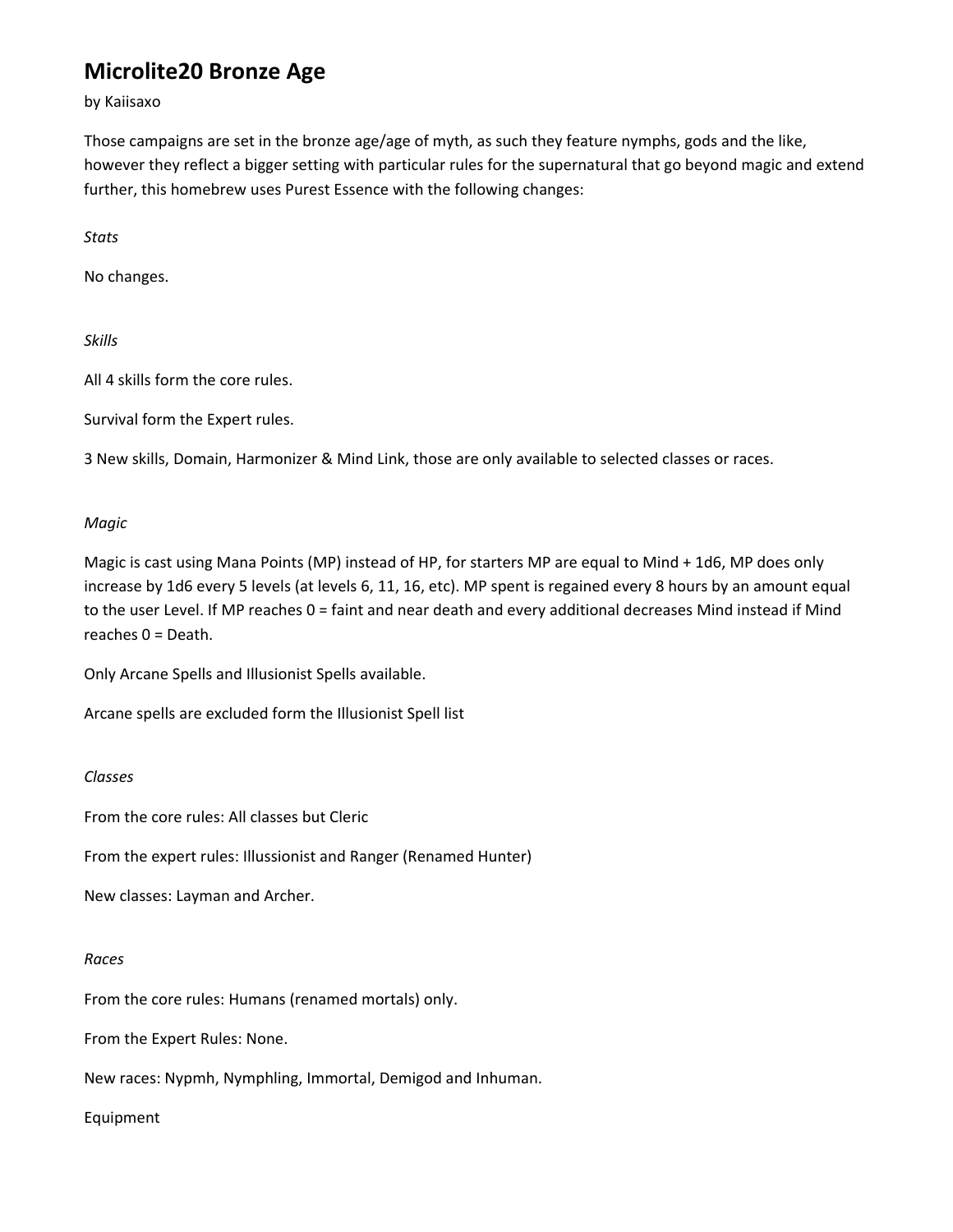# **Microlite20 Bronze Age**

by Kaiisaxo

Those campaigns are set in the bronze age/age of myth, as such they feature nymphs, gods and the like, however they reflect a bigger setting with particular rules for the supernatural that go beyond magic and extend further, this homebrew uses Purest Essence with the following changes:

*Stats*

No changes.

*Skills*

All 4 skills form the core rules.

Survival form the Expert rules.

3 New skills, Domain, Harmonizer & Mind Link, those are only available to selected classes or races.

### *Magic*

Magic is cast using Mana Points (MP) instead of HP, for starters MP are equal to Mind + 1d6, MP does only increase by 1d6 every 5 levels (at levels 6, 11, 16, etc). MP spent is regained every 8 hours by an amount equal to the user Level. If MP reaches 0 = faint and near death and every additional decreases Mind instead if Mind reaches 0 = Death.

Only Arcane Spells and Illusionist Spells available.

Arcane spells are excluded form the Illusionist Spell list

#### *Classes*

From the core rules: All classes but Cleric

From the expert rules: Illussionist and Ranger (Renamed Hunter)

New classes: Layman and Archer.

#### *Races*

From the core rules: Humans (renamed mortals) only.

From the Expert Rules: None.

New races: Nypmh, Nymphling, Immortal, Demigod and Inhuman.

Equipment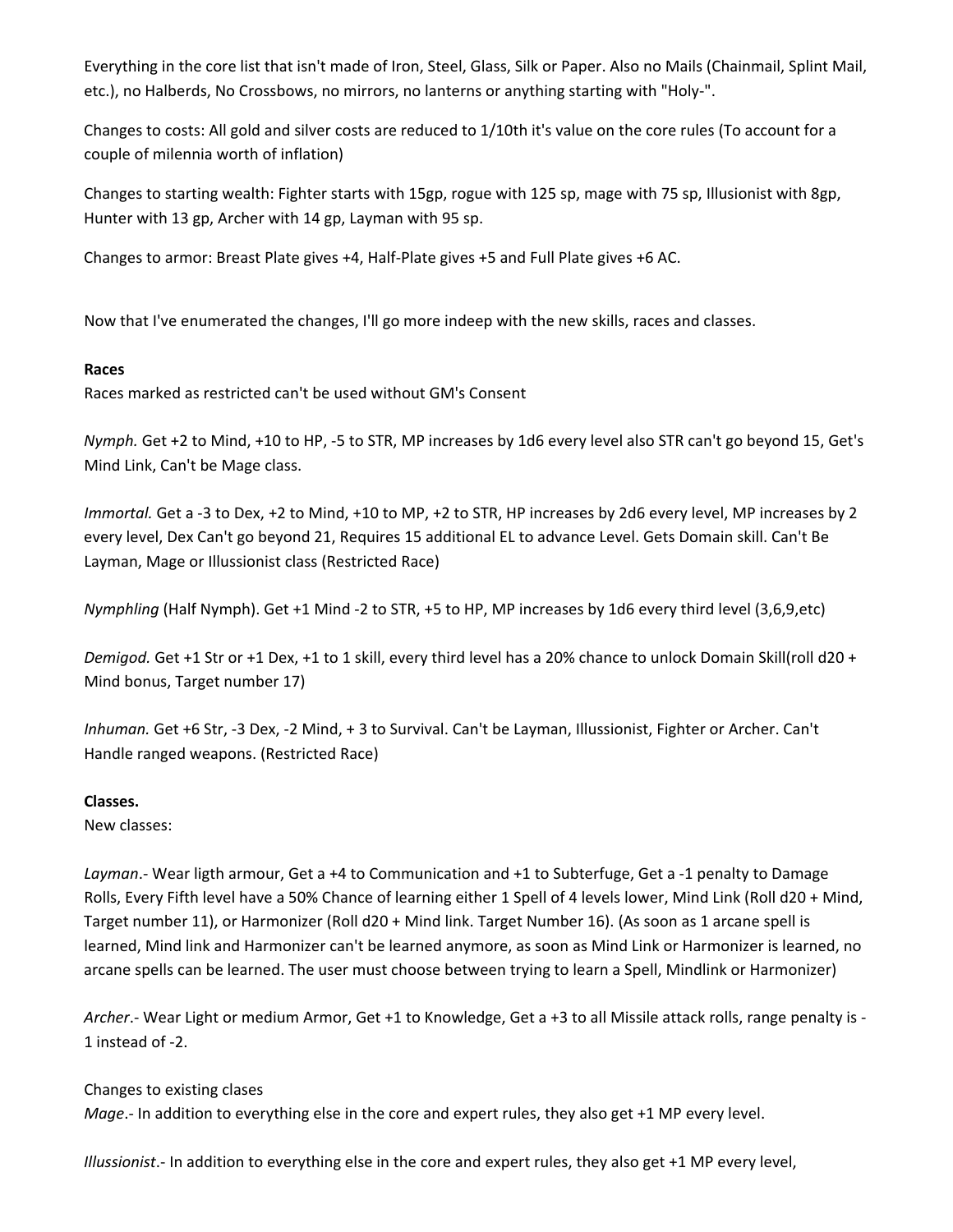Everything in the core list that isn't made of Iron, Steel, Glass, Silk or Paper. Also no Mails (Chainmail, Splint Mail, etc.), no Halberds, No Crossbows, no mirrors, no lanterns or anything starting with "Holy‐".

Changes to costs: All gold and silver costs are reduced to 1/10th it's value on the core rules (To account for a couple of milennia worth of inflation)

Changes to starting wealth: Fighter starts with 15gp, rogue with 125 sp, mage with 75 sp, Illusionist with 8gp, Hunter with 13 gp, Archer with 14 gp, Layman with 95 sp.

Changes to armor: Breast Plate gives +4, Half‐Plate gives +5 and Full Plate gives +6 AC.

Now that I've enumerated the changes, I'll go more indeep with the new skills, races and classes.

#### **Races**

Races marked as restricted can't be used without GM's Consent

*Nymph.* Get +2 to Mind, +10 to HP, ‐5 to STR, MP increases by 1d6 every level also STR can't go beyond 15, Get's Mind Link, Can't be Mage class.

*Immortal.* Get a ‐3 to Dex, +2 to Mind, +10 to MP, +2 to STR, HP increases by 2d6 every level, MP increases by 2 every level, Dex Can't go beyond 21, Requires 15 additional EL to advance Level. Gets Domain skill. Can't Be Layman, Mage or Illussionist class (Restricted Race)

*Nymphling* (Half Nymph). Get +1 Mind ‐2 to STR, +5 to HP, MP increases by 1d6 every third level (3,6,9,etc)

*Demigod.* Get +1 Str or +1 Dex, +1 to 1 skill, every third level has a 20% chance to unlock Domain Skill(roll d20 + Mind bonus, Target number 17)

*Inhuman.* Get +6 Str, ‐3 Dex, ‐2 Mind, + 3 to Survival. Can't be Layman, Illussionist, Fighter or Archer. Can't Handle ranged weapons. (Restricted Race)

#### **Classes.**

New classes:

Layman.- Wear ligth armour, Get a +4 to Communication and +1 to Subterfuge, Get a -1 penalty to Damage Rolls, Every Fifth level have a 50% Chance of learning either 1 Spell of 4 levels lower, Mind Link (Roll d20 + Mind, Target number 11), or Harmonizer (Roll d20 + Mind link. Target Number 16). (As soon as 1 arcane spell is learned, Mind link and Harmonizer can't be learned anymore, as soon as Mind Link or Harmonizer is learned, no arcane spells can be learned. The user must choose between trying to learn a Spell, Mindlink or Harmonizer)

*Archer*.‐ Wear Light or medium Armor, Get +1 to Knowledge, Get a +3 to all Missile attack rolls, range penalty is ‐ 1 instead of ‐2.

Changes to existing clases *Mage*.- In addition to everything else in the core and expert rules, they also get +1 MP every level.

*Illussionist*.‐ In addition to everything else in the core and expert rules, they also get +1 MP every level,